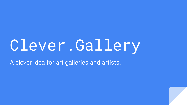# Clever.Gallery

A clever idea for art galleries and artists.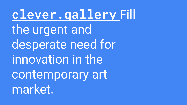clever.galleryFill the urgent and desperate need for innovation in the contemporary art market.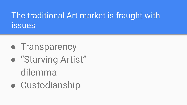### The traditional Art market is fraught with issues

- **Transparency**
- "Starving Artist" dilemma
- Custodianship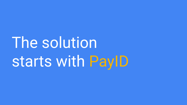# The solution starts with PayID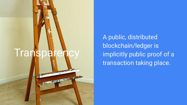### Transparenc

**CERTIFICATE** 

 $\mathbf{z}$ 

A public, distributed blockchain/ledger is implicitly public proof of a transaction taking place.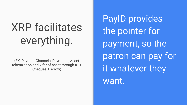## XRP facilitates everything.

(FX, PaymentChannels, Payments, Asset tokenization and x-fer of asset through IOU, Cheques, Escrow)

PayID provides the pointer for payment, so the patron can pay for it whatever they want.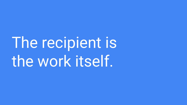# The recipient is the work itself.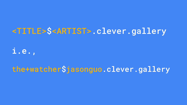#### <TITLE>\$<ARTIST>.clever.gallery

i.e.,

the+watcher\$jasonguo.clever.gallery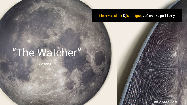#### the+watcher\$jasonguo.clever.gallery

## "The Watcher"

Jason Guo

jasonguo.com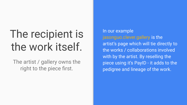## The recipient is the work itself.

The artist / gallery owns the right to the piece first.

In our example jasonguo.clever.gallery is the artist's page which will tie directly to the works / collaborations involved with by the artist. By reselling the piece using it's PayID - it adds to the pedigree and lineage of the work.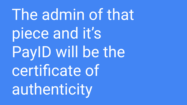The admin of that piece and it's PayID will be the certificate of authenticity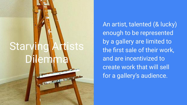## **Starving Artists** Dilemma

An artist, talented (& lucky) enough to be represented by a gallery are limited to the first sale of their work, and are incentivized to create work that will sell for a gallery's audience.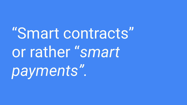"Smart contracts" or rather "*smart payments".*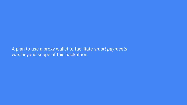A plan to use a proxy wallet to facilitate *smart payments* was beyond scope of this hackathon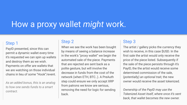### How a proxy wallet *might* work.

#### Step 1

PayID presented, since this can permit a dynamic wallet every time it's requested we can spin up wallets and destroy them as we wish. Payments on offer are wallets that we are watching on those individual chains in lieu of some "Hook"/event.

*As an added bonus, this is an analog to how one sends funds to a smart contract.*

#### Step 2

When we see the work has been bought by means of seeing a balance increase in the work's "proxy wallet" we begin the automated sale of the piece. Payments that are rejected are sent back as a polite gesture, but will involve the decrease in funds from the cost of the network (when ETH, BTC..). A PreAuth step could ensure we only accept XRP from patrons we know are serious, removing the need for logic for sending back.

#### Step 3

The artist / gallery picks the currency they wish to receive, in this case \$USD. In the first sale the artist would only receive the price of the piece listed. Subsequently if the sale of the piece persists through it's PayID, the the artist would receive some determined commission of the sale, (*potentially) an optional trait,* the new owner would receive the asset tokenized.

*Ownership of the PayID may use the Tokenized Asset itself, where once it's sent back, that wallet becomes the new owner.*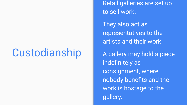### Custodianship

Retail galleries are set up to sell work.

They also act as representatives to the artists and their work.

A gallery may hold a piece indefinitely as consignment, where nobody benefits and the work is hostage to the gallery.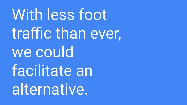# With less foot traffic than ever, we could facilitate an alternative.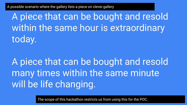A possible scenario where the gallery lists a piece on clever.gallery

A piece that can be bought and resold within the same hour is extraordinary today.

A piece that can be bought and resold many times within the same minute will be life changing.

The scope of this hackathon restricts us from using this for the POC.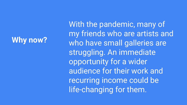#### **Why now?**

With the pandemic, many of my friends who are artists and who have small galleries are struggling. An immediate opportunity for a wider audience for their work and recurring income could be life-changing for them.